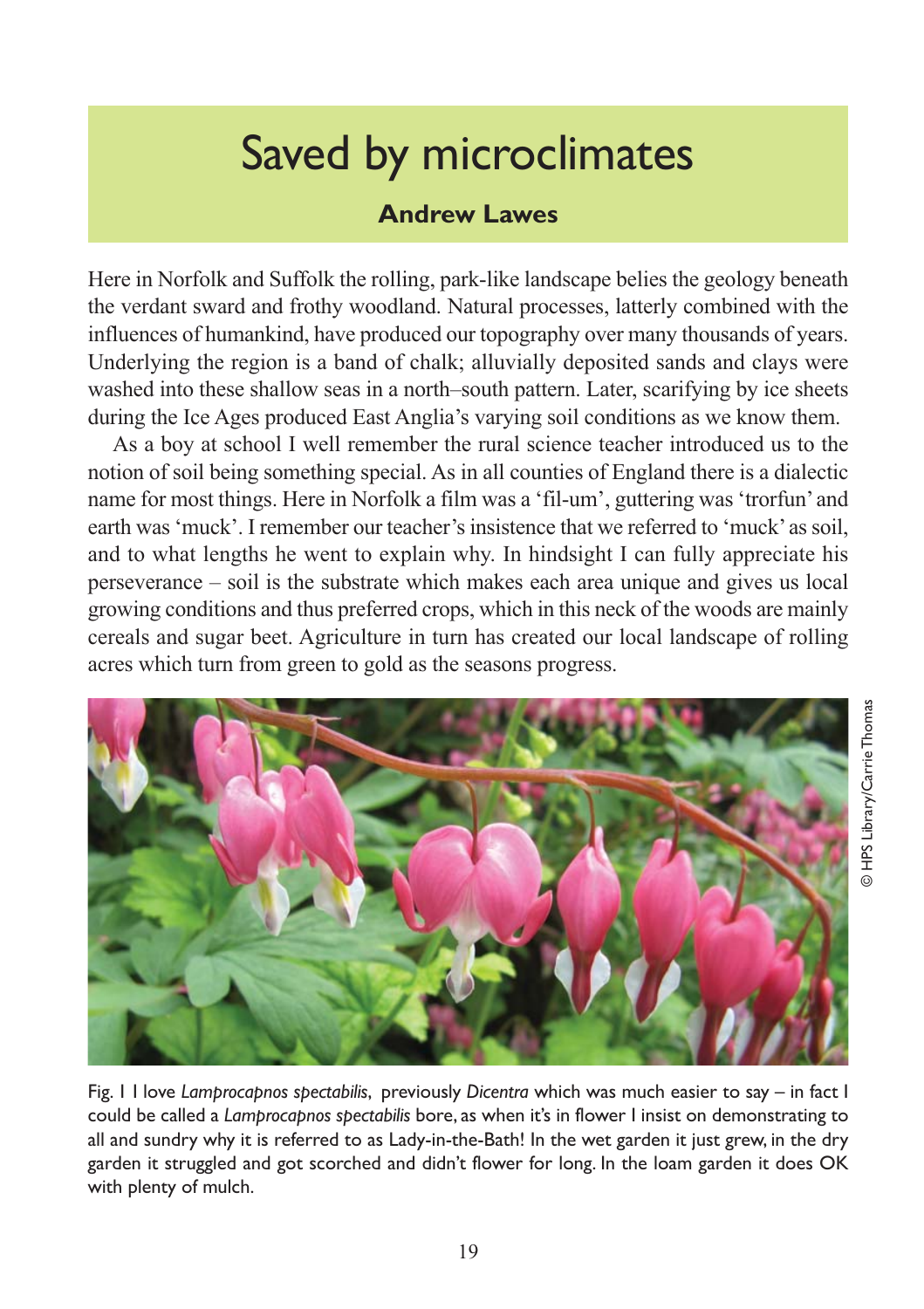## Saved by microclimates

## **Andrew Lawes**

Here in Norfolk and Suffolk the rolling, park-like landscape belies the geology beneath the verdant sward and frothy woodland. Natural processes, latterly combined with the influences of humankind, have produced our topography over many thousands of years. Underlying the region is a band of chalk; alluvially deposited sands and clays were washed into these shallow seas in a north–south pattern. Later, scarifying by ice sheets during the Ice Ages produced East Anglia's varying soil conditions as we know them.

As a boy at school I well remember the rural science teacher introduced us to the notion of soil being something special. As in all counties of England there is a dialectic name for most things. Here in Norfolk a film was a 'fil-um', guttering was 'trorfun' and earth was 'muck'. I remember our teacher's insistence that we referred to 'muck' as soil, and to what lengths he went to explain why. In hindsight I can fully appreciate his perseverance – soil is the substrate which makes each area unique and gives us local growing conditions and thus preferred crops, which in this neck of the woods are mainly cereals and sugar beet. Agriculture in turn has created our local landscape of rolling acres which turn from green to gold as the seasons progress.



Fig. 1 I love *Lamprocapnos spectabilis*, previously *Dicentra* which was much easier to say – in fact I could be called a *Lamprocapnos spectabilis* bore, as when it's in flower I insist on demonstrating to all and sundry why it is referred to as Lady-in-the-Bath! In the wet garden it just grew, in the dry garden it struggled and got scorched and didn't flower for long. In the loam garden it does OK with plenty of mulch.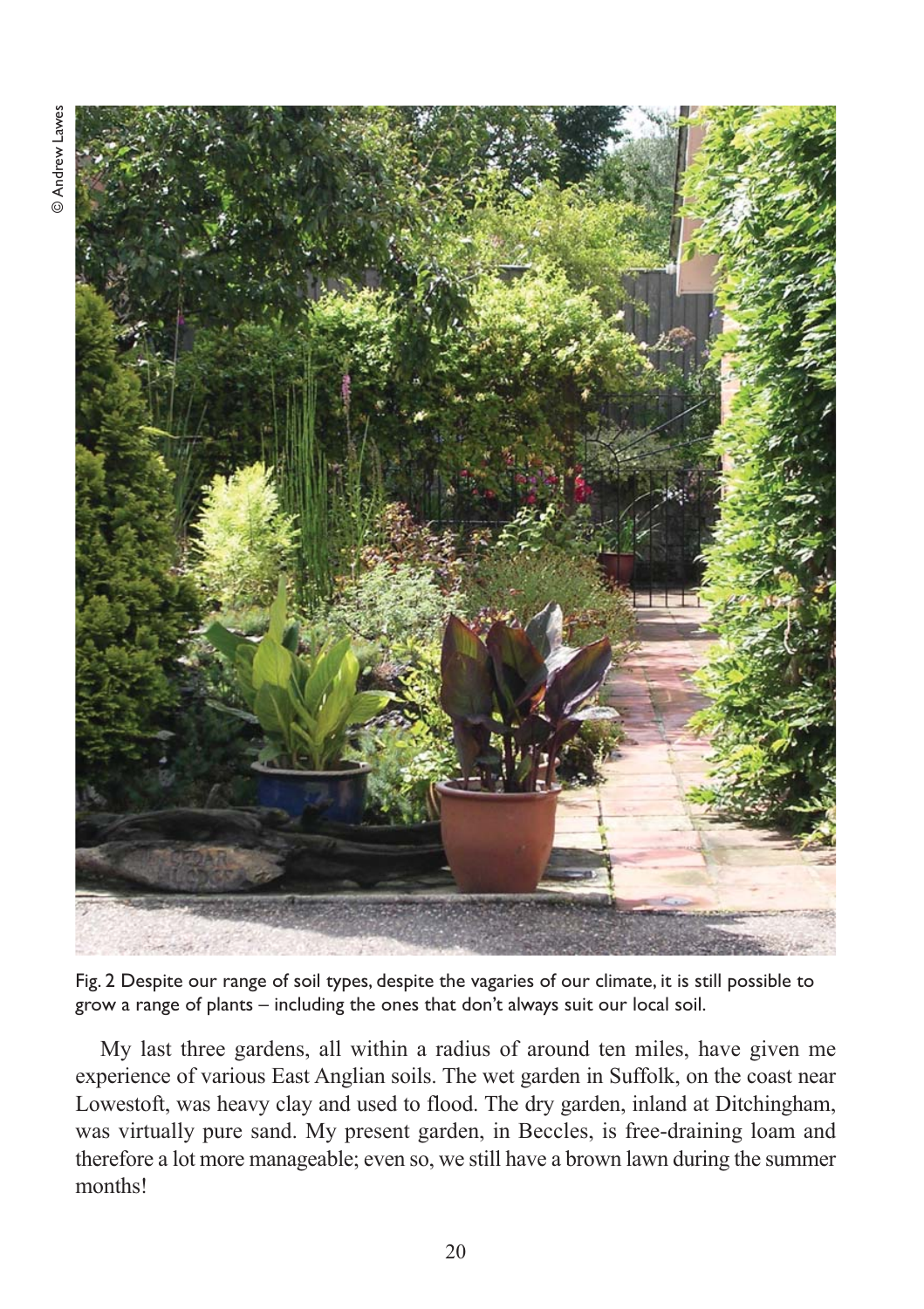

Fig. 2 Despite our range of soil types, despite the vagaries of our climate, it is still possible to grow a range of plants – including the ones that don't always suit our local soil.

My last three gardens, all within a radius of around ten miles, have given me experience of various East Anglian soils. The wet garden in Suffolk, on the coast near Lowestoft, was heavy clay and used to flood. The dry garden, inland at Ditchingham, was virtually pure sand. My present garden, in Beccles, is free-draining loam and therefore a lot more manageable; even so, we still have a brown lawn during the summer months!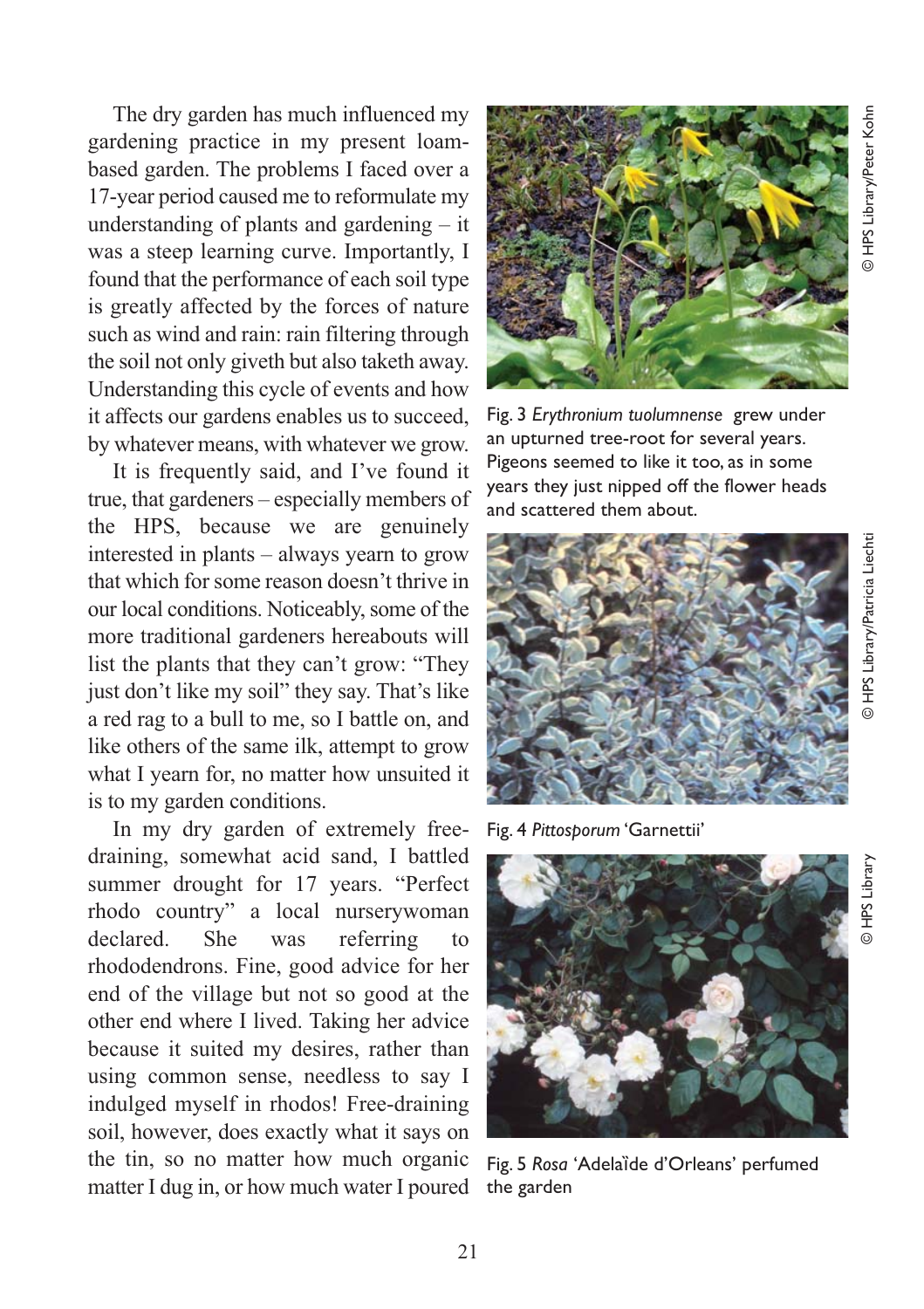The dry garden has much influenced my gardening practice in my present loambased garden. The problems I faced over a 17-year period caused me to reformulate my understanding of plants and gardening – it was a steep learning curve. Importantly, I found that the performance of each soil type is greatly affected by the forces of nature such as wind and rain: rain filtering through the soil not only giveth but also taketh away. Understanding this cycle of events and how it affects our gardens enables us to succeed, by whatever means, with whatever we grow.

It is frequently said, and I've found it true, that gardeners – especially members of the HPS, because we are genuinely interested in plants – always yearn to grow that which for some reason doesn't thrive in our local conditions. Noticeably, some of the more traditional gardeners hereabouts will list the plants that they can't grow: "They just don't like my soil" they say. That's like a red rag to a bull to me, so I battle on, and like others of the same ilk, attempt to grow what I yearn for, no matter how unsuited it is to my garden conditions.

In my dry garden of extremely freedraining, somewhat acid sand, I battled summer drought for 17 years. "Perfect rhodo country" a local nurserywoman declared. She was referring to rhododendrons. Fine, good advice for her end of the village but not so good at the other end where I lived. Taking her advice because it suited my desires, rather than using common sense, needless to say I indulged myself in rhodos! Free-draining soil, however, does exactly what it says on the tin, so no matter how much organic matter I dug in, or how much water I poured



Fig. 3 *Erythronium tuolumnense* grew under an upturned tree-root for several years. Pigeons seemed to like it too, as in some years they just nipped off the flower heads and scattered them about.



Fig. 4 *Pittosporum* 'Garnettii'



Fig. 5 Rosa 'Adelaïde d'Orleans' perfumed the garden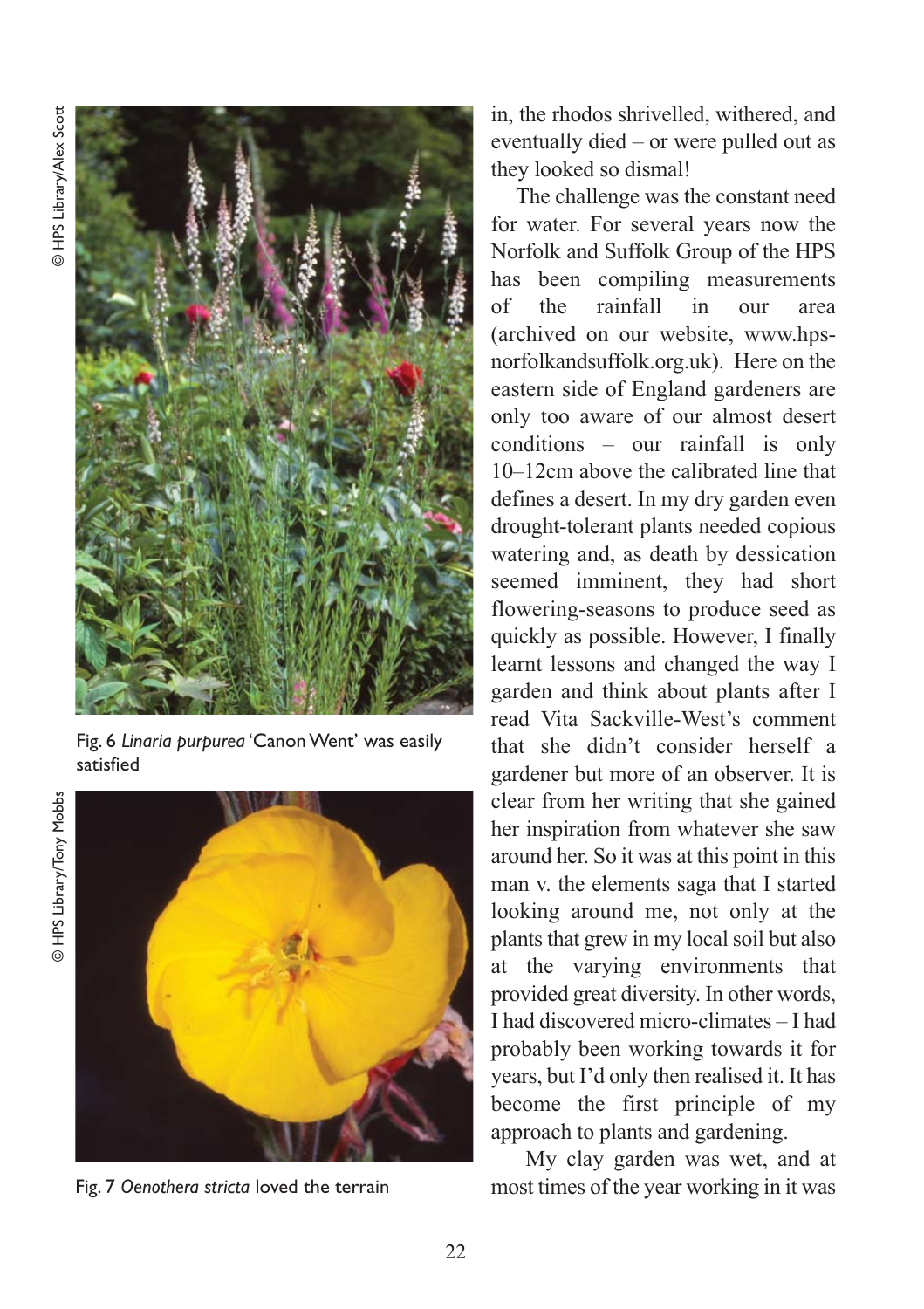

Fig. 6 *Linaria purpurea* 'Canon Went' was easily satisfied

© HPS Library/Tony Mobbs © HPS Library/Tony Mobbs



Fig. 7 *Oenothera stricta* loved the terrain

in, the rhodos shrivelled, withered, and eventually died – or were pulled out as they looked so dismal!

The challenge was the constant need for water. For several years now the Norfolk and Suffolk Group of the HPS has been compiling measurements of the rainfall in our area (archived on our website, www.hpsnorfolkandsuffolk.org.uk). Here on the eastern side of England gardeners are only too aware of our almost desert conditions – our rainfall is only 10–12cm above the calibrated line that defines a desert. In my dry garden even drought-tolerant plants needed copious watering and, as death by dessication seemed imminent, they had short flowering-seasons to produce seed as quickly as possible. However, I finally learnt lessons and changed the way I garden and think about plants after I read Vita Sackville-West's comment that she didn't consider herself a gardener but more of an observer. It is clear from her writing that she gained her inspiration from whatever she saw around her. So it was at this point in this man v. the elements saga that I started looking around me, not only at the plants that grew in my local soil but also at the varying environments that provided great diversity. In other words, I had discovered micro-climates – I had probably been working towards it for years, but I'd only then realised it. It has become the first principle of my approach to plants and gardening.

My clay garden was wet, and at most times of the year working in it was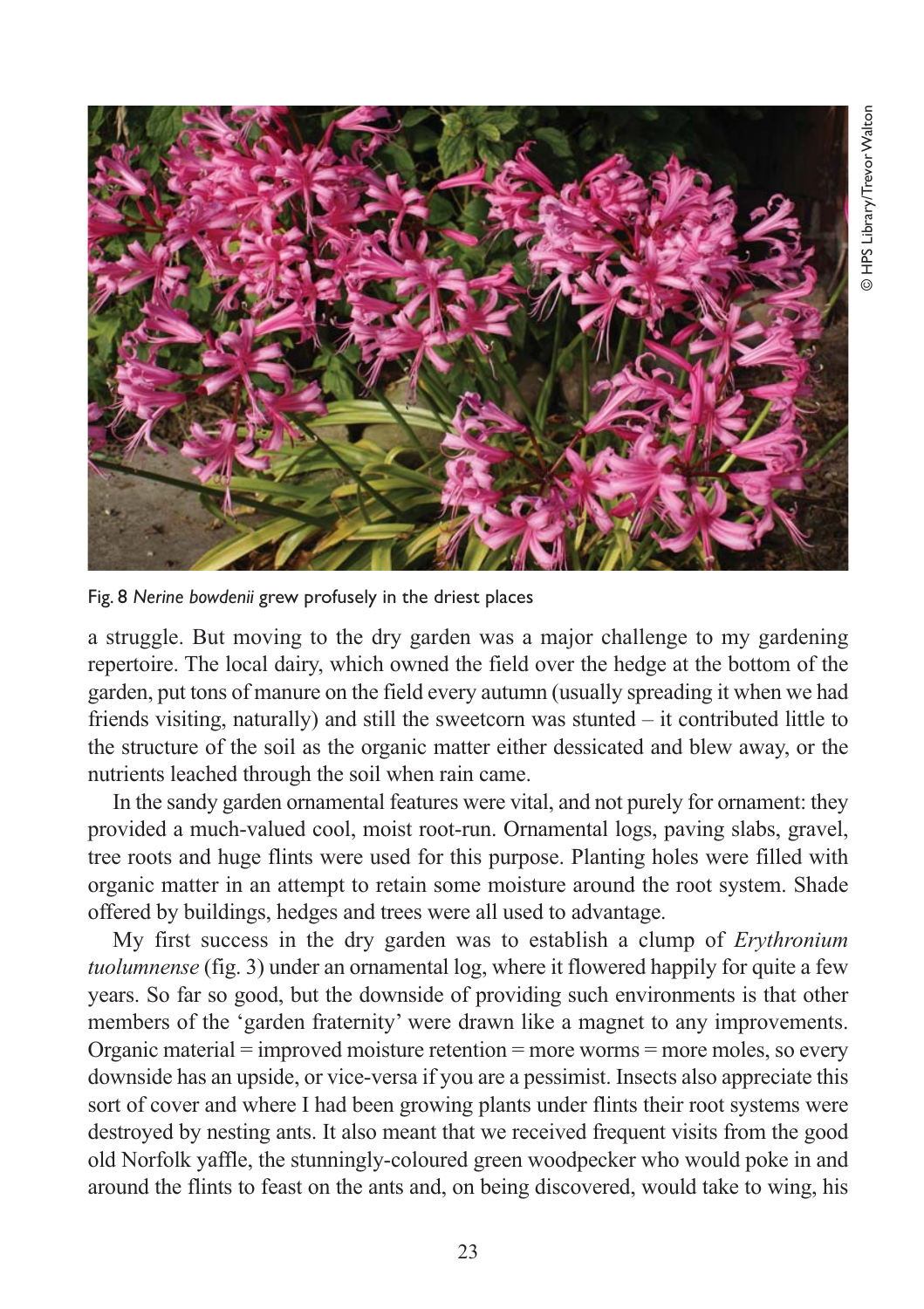

Fig. 8 *Nerine bowdenii* grew profusely in the driest places

a struggle. But moving to the dry garden was a major challenge to my gardening repertoire. The local dairy, which owned the field over the hedge at the bottom of the garden, put tons of manure on the field every autumn (usually spreading it when we had friends visiting, naturally) and still the sweetcorn was stunted – it contributed little to the structure of the soil as the organic matter either dessicated and blew away, or the nutrients leached through the soil when rain came.

In the sandy garden ornamental features were vital, and not purely for ornament: they provided a much-valued cool, moist root-run. Ornamental logs, paving slabs, gravel, tree roots and huge flints were used for this purpose. Planting holes were filled with organic matter in an attempt to retain some moisture around the root system. Shade offered by buildings, hedges and trees were all used to advantage.

My first success in the dry garden was to establish a clump of *Erythronium tuolumnense* (fig. 3) under an ornamental log, where it flowered happily for quite a few years. So far so good, but the downside of providing such environments is that other members of the 'garden fraternity' were drawn like a magnet to any improvements. Organic material = improved moisture retention = more worms = more moles, so every downside has an upside, or vice-versa if you are a pessimist. Insects also appreciate this sort of cover and where I had been growing plants under flints their root systems were destroyed by nesting ants. It also meant that we received frequent visits from the good old Norfolk yaffle, the stunningly-coloured green woodpecker who would poke in and around the flints to feast on the ants and, on being discovered, would take to wing, his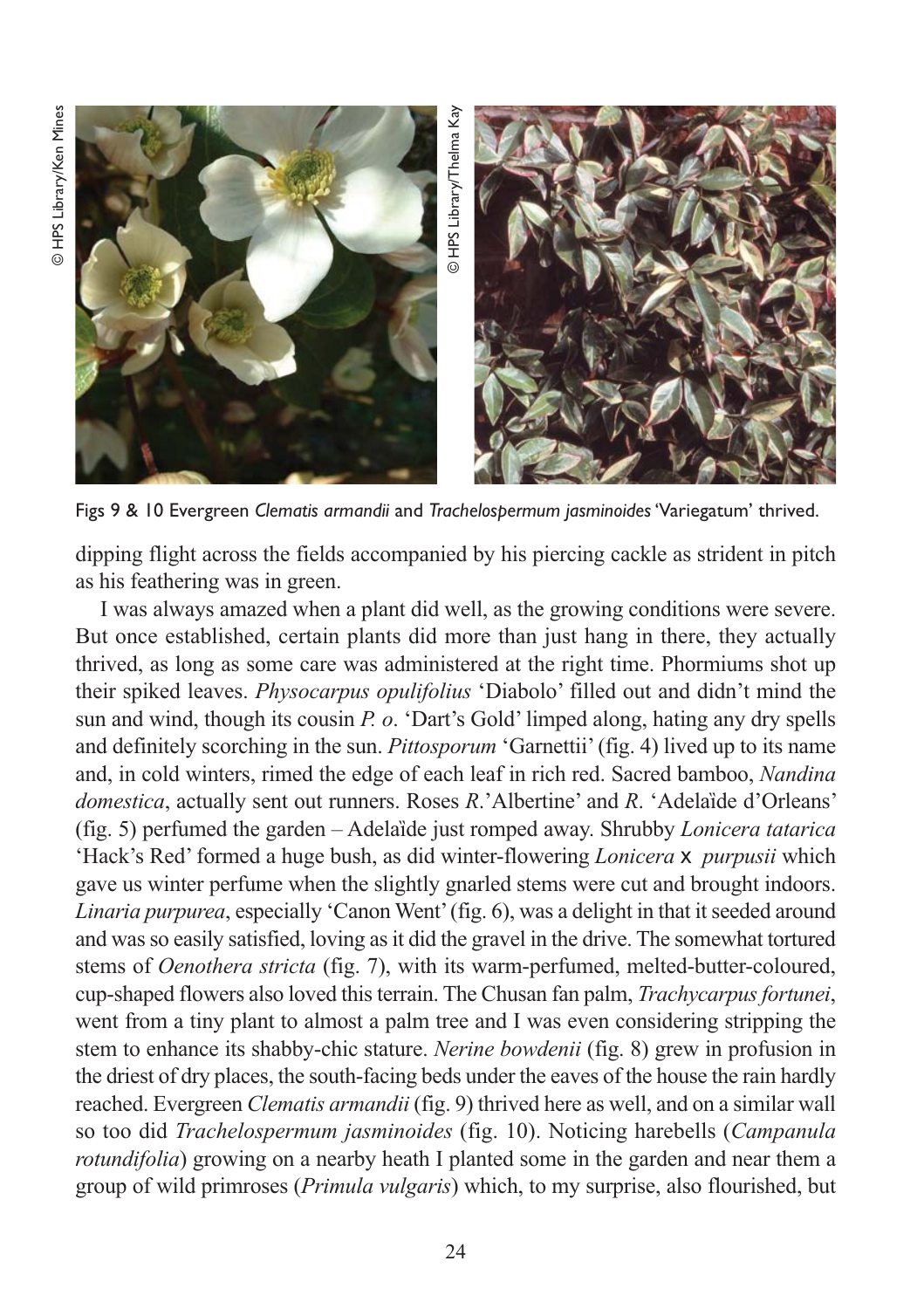

dipping flight across the fields accompanied by his piercing cackle as strident in pitch as his feathering was in green.

I was always amazed when a plant did well, as the growing conditions were severe. But once established, certain plants did more than just hang in there, they actually thrived, as long as some care was administered at the right time. Phormiums shot up their spiked leaves. *Physocarpus opulifolius* 'Diabolo' filled out and didn't mind the sun and wind, though its cousin *P. o*. 'Dart's Gold' limped along, hating any dry spells and definitely scorching in the sun. *Pittosporum* 'Garnettii' (fig. 4) lived up to its name and, in cold winters, rimed the edge of each leaf in rich red. Sacred bamboo, *Nandina domestica*, actually sent out runners. Roses *R*.'Albertine' and *R*. 'Adelaȉde d'Orleans' (fig. 5) perfumed the garden – Adelaȉde just romped away. Shrubby *Lonicera tatarica* 'Hack's Red' formed a huge bush, as did winter-flowering *Lonicera* x *purpusii* which gave us winter perfume when the slightly gnarled stems were cut and brought indoors. *Linaria purpurea*, especially 'Canon Went' (fig. 6), was a delight in that it seeded around and was so easily satisfied, loving as it did the gravel in the drive. The somewhat tortured stems of *Oenothera stricta* (fig. 7), with its warm-perfumed, melted-butter-coloured, cup-shaped flowers also loved this terrain. The Chusan fan palm, *Trachycarpus fortunei*, went from a tiny plant to almost a palm tree and I was even considering stripping the stem to enhance its shabby-chic stature. *Nerine bowdenii* (fig. 8) grew in profusion in the driest of dry places, the south-facing beds under the eaves of the house the rain hardly reached. Evergreen *Clematis armandii* (fig. 9) thrived here as well, and on a similar wall so too did *Trachelospermum jasminoides* (fig. 10). Noticing harebells (*Campanula rotundifolia*) growing on a nearby heath I planted some in the garden and near them a group of wild primroses (*Primula vulgaris*) which, to my surprise, also flourished, but